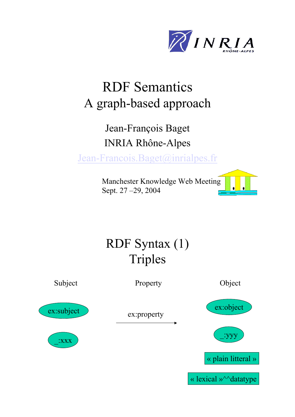

# RDF Semantics A graph-based approach

### Jean-François Baget INRIA Rhône-Alpes

Jean-Francois.Baget@inrialpes.fr

Manchester Knowledge Web Meeting Sept. 27 –29, 2004



# RDF Syntax (1) Triples Subject Property Object ex:subject \_:xxx ex:property ex:object \_:yyy « plain litteral »

« lexical »<sup>^^</sup>datatype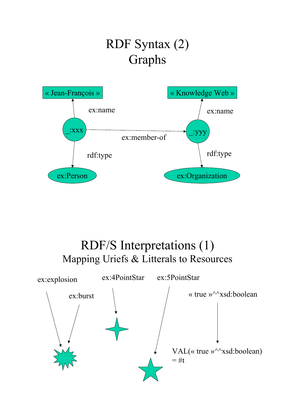# RDF Syntax (2) Graphs



RDF/S Interpretations (1) Mapping Uriefs & Litterals to Resources

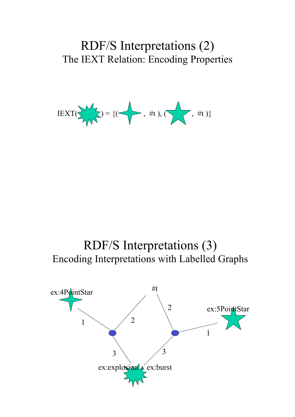#### RDF/S Interpretations (2) The IEXT Relation: Encoding Properties

$$
\text{IEXT}(\sum_{i} y_i = \{(\text{I}) \mid \text{#t}), (\text{I}) \mid \text{#t} \}
$$



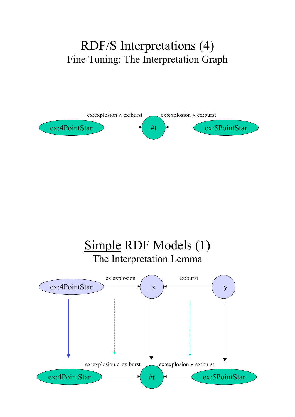### RDF/S Interpretations (4) Fine Tuning: The Interpretation Graph



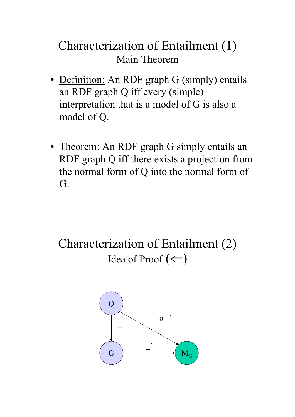### Characterization of Entailment (1) Main Theorem

- Definition: An RDF graph G (simply) entails an RDF graph Q iff every (simple) interpretation that is a model of G is also a model of Q.
- Theorem: An RDF graph G simply entails an RDF graph Q iff there exists a projection from the normal form of Q into the normal form of G.

Characterization of Entailment (2) Idea of Proof  $(\Leftarrow)$ 

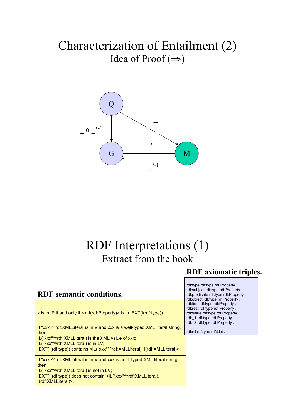### Characterization of Entailment (2) Idea of Proof  $(\Rightarrow)$



#### RDF Interpretations (1) Extract from the book

#### RDF axiomatic triples.

#### RDF semantic conditions. x is in IP if and only if <x, I(rdf:Property)> is in IEXT(I(rdf:type))

If "xxx"^^rdf:XMLLiteral is in V and xxx is a well-typed XML literal string, then

IL("xxx"^^rdf:XMLLiteral) is the XML value of xxx; IL("xxx"^^rdf:XMLLiteral) is in LV;

IEXT(I(rdf:type)) contains <IL("xxx"^^rdf:XMLLiteral), I(rdf:XMLLiteral)>

If "xxx"^^rdf:XMLLiteral is in V and xxx is an ill-typed XML literal string, then

IL("xxx"^^rdf:XMLLiteral) is not in LV;

IEXT(I(rdf:type)) does not contain <IL("xxx"^^rdf:XMLLiteral), I(rdf:XMLLiteral)>.

rdf:type rdf:type rdf:Property . rdf:subject rdf:type rdf:Property . rdf:predicate rdf:type rdf:Property . rdf:object rdf:type rdf:Property . rdf:first rdf:type rdf:Property . rdf:rest rdf:type rdf:Property . rdf:value rdf:type rdf:Property . rdf:\_1 rdf:type rdf:Property . rdf:\_2 rdf:type rdf:Property . ...

rdf:nil rdf:type rdf:List .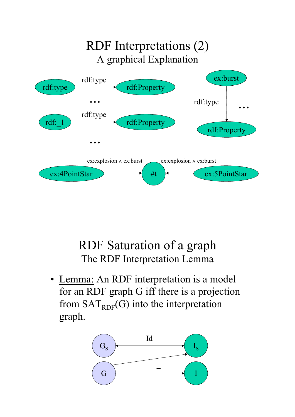

## RDF Saturation of a graph The RDF Interpretation Lemma

• Lemma: An RDF interpretation is a model for an RDF graph G iff there is a projection from  $SAT<sub>RDF</sub>(G)$  into the interpretation graph.

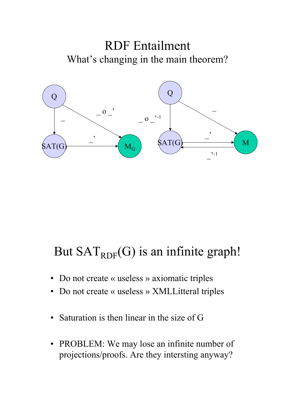



## But  $SAT<sub>RDF</sub>(G)$  is an infinite graph!

- Do not create « useless » axiomatic triples
- Do not create « useless » XMLLitteral triples
- Saturation is then linear in the size of G
- PROBLEM: We may lose an infinite number of projections/proofs. Are they intersting anyway?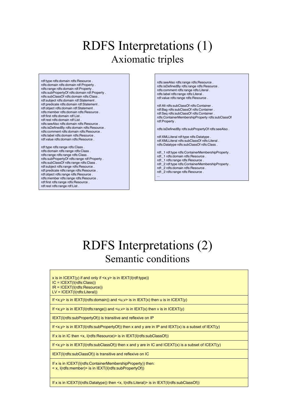### RDFS Interpretations (1) Axiomatic triples

rdf:type rdfs:domain rdfs:Resource . rdfs:domain rdfs:domain rdf:Property . rdfs:range rdfs:domain rdf:Property . rdfs:subPropertyOf rdfs:domain rdf:Property . rdfs:subClassOf rdfs:domain rdfs:Class . rdf:subject rdfs:domain rdf:Statement . rdf:predicate rdfs:domain rdf:Statement . rdf:object rdfs:domain rdf:Statement . rdfs:member rdfs:domain rdfs:Resource . rdf:first rdfs:domain rdf:List . rdf:rest rdfs:domain rdf:List . rdfs:seeAlso rdfs:domain rdfs:Resource . rdfs:isDefinedBy rdfs:domain rdfs:Resource . rdfs:comment rdfs:domain rdfs:Resource . rdfs:label rdfs:domain rdfs:Resource . rdf:value rdfs:domain rdfs:Resource .

rdf:type rdfs:range rdfs:Class . rdfs:domain rdfs:range rdfs:Class . rdfs:range rdfs:range rdfs:Class . rdfs:subPropertyOf rdfs:range rdf:Property . rdfs:subClassOf rdfs:range rdfs:Class . rdf:subject rdfs:range rdfs:Resource . rdf:predicate rdfs:range rdfs:Resource . rdf:object rdfs:range rdfs:Resource . rdfs:member rdfs:range rdfs:Resource . rdf:first rdfs:range rdfs:Resource . rdf:rest rdfs:range rdf:List .

rdfs:seeAlso rdfs:range rdfs:Resource . rdfs:isDefinedBy rdfs:range rdfs:Resource . rdfs:comment rdfs:range rdfs:Literal . rdfs:label rdfs:range rdfs:Literal . rdf:value rdfs:range rdfs:Resource .

rdf:Alt rdfs:subClassOf rdfs:Container . rdf:Bag rdfs:subClassOf rdfs:Container . rdf:Seq rdfs:subClassOf rdfs:Container . rdfs:ContainerMembershipProperty rdfs:subClassOf rdf:Property .

rdfs:isDefinedBy rdfs:subPropertyOf rdfs:seeAlso .

rdf:XMLLiteral rdf:type rdfs:Datatype . rdf:XMLLiteral rdfs:subClassOf rdfs:Literal . rdfs:Datatype rdfs:subClassOf rdfs:Class .

rdf:\_1 rdf:type rdfs:ContainerMembershipProperty .

- rdf:\_1 rdfs:domain rdfs:Resource .
- rdf:\_1 rdfs:range rdfs:Resource .

rdf:\_2 rdf:type rdfs:ContainerMembershipProperty .

rdf:\_2 rdfs:domain rdfs:Resource . rdf:\_2 rdfs:range rdfs:Resource .

...

### RDFS Interpretations (2) Semantic conditions

x is in ICEXT(y) if and only if  $\langle x, y \rangle$  is in IEXT(I(rdf:type))

IC = ICEXT(I(rdfs:Class))

IR = ICEXT(I(rdfs:Resource)) LV = ICEXT(I(rdfs:Literal))

If  $\langle x, y \rangle$  is in IEXT(I(rdfs:domain)) and  $\langle u, v \rangle$  is in IEXT(x) then u is in ICEXT(y)

If  $\langle x, y \rangle$  is in IEXT(I(rdfs:range)) and  $\langle u, v \rangle$  is in IEXT(x) then v is in ICEXT(y)

IEXT(I(rdfs:subPropertyOf)) is transitive and reflexive on IP

If  $\langle x, y \rangle$  is in IEXT(I(rdfs:subPropertyOf)) then x and y are in IP and IEXT(x) is a subset of IEXT(y)

If x is in IC then <x, I(rdfs:Resource)> is in IEXT(I(rdfs:subClassOf))

If  $\langle x, y \rangle$  is in IEXT(I(rdfs:subClassOf)) then x and y are in IC and ICEXT(x) is a subset of ICEXT(y)

IEXT(I(rdfs:subClassOf)) is transitive and reflexive on IC

If x is in ICEXT(I(rdfs:ContainerMembershipProperty)) then: < x, I(rdfs:member)> is in IEXT(I(rdfs:subPropertyOf))

If x is in ICEXT(I(rdfs:Datatype)) then <x, I(rdfs:Literal)> is in IEXT(I(rdfs:subClassOf))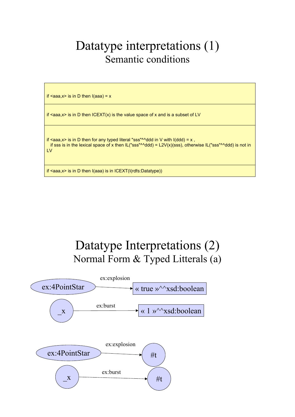### Datatype interpretations (1) Semantic conditions



### Datatype Interpretations (2) Normal Form & Typed Litterals (a)

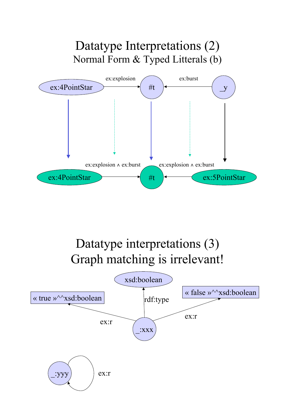

# Datatype interpretations (3) Graph matching is irrelevant!